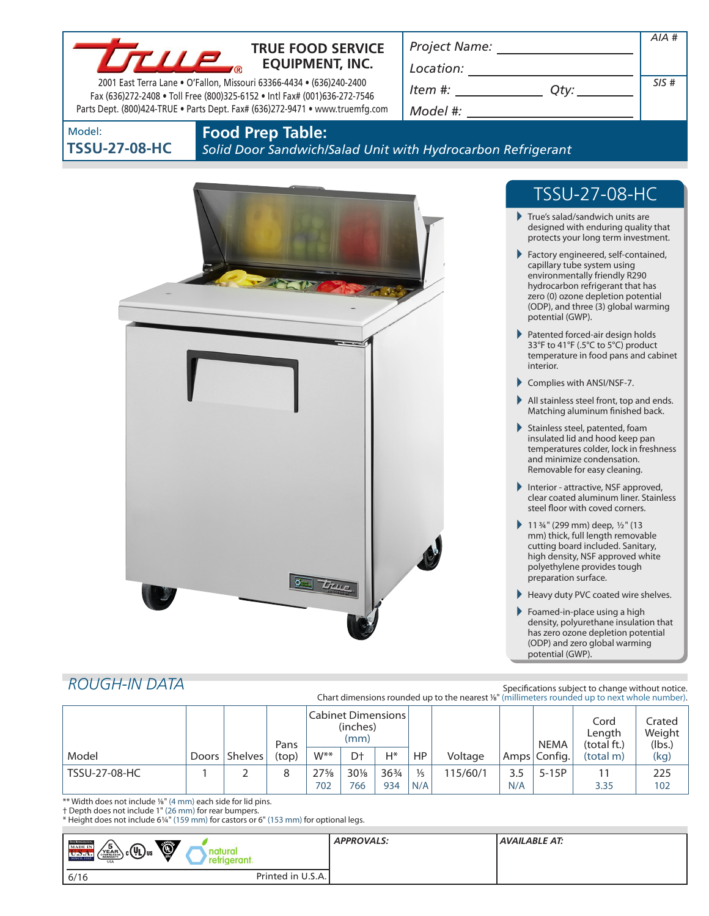

## **TRUE FOOD SERVICE EQUIPMENT, INC.**

2001 East Terra Lane • O'Fallon, Missouri 63366-4434 • (636)240-2400 Fax (636)272-2408 • Toll Free (800)325-6152 • Intl Fax# (001)636-272-7546 Parts Dept. (800)424-TRUE • Parts Dept. Fax# (636)272-9471 • www.truemfg.com *Project Name:*

*Item #: Qty:*

*Location:*

| Qty: | SIS# |
|------|------|

*AIA #*

*Model #:*

| Model:               |  |  |
|----------------------|--|--|
| <b>TSSU-27-08-HC</b> |  |  |

## **Food Prep Table:**

*Solid Door Sandwich/Salad Unit with Hydrocarbon Refrigerant*



# TSSU-27-08-HC

- True's salad/sandwich units are designed with enduring quality that protects your long term investment.
- Factory engineered, self-contained, capillary tube system using environmentally friendly R290 hydrocarbon refrigerant that has zero (0) ozone depletion potential (ODP), and three (3) global warming potential (GWP).
- Patented forced-air design holds 33°F to 41°F (.5°C to 5°C) product temperature in food pans and cabinet interior.
- Complies with ANSI/NSF-7.
- All stainless steel front, top and ends. Matching aluminum finished back.
- $\blacktriangleright$  Stainless steel, patented, foam insulated lid and hood keep pan temperatures colder, lock in freshness and minimize condensation. Removable for easy cleaning.
- Interior attractive, NSF approved, clear coated aluminum liner. Stainless steel floor with coved corners.
- 11  $\frac{3}{4}$ " (299 mm) deep,  $\frac{1}{2}$ " (13 mm) thick, full length removable cutting board included. Sanitary, high density, NSF approved white polyethylene provides tough preparation surface.
- Heavy duty PVC coated wire shelves.
- Foamed-in-place using a high density, polyurethane insulation that has zero ozone depletion potential (ODP) and zero global warming potential (GWP).

## *ROUGH-IN DATA*

| Specifications subject to change without notice.                                                            |
|-------------------------------------------------------------------------------------------------------------|
| Chart dimensions rounded up to the nearest 1/ <sub>8</sub> " (millimeters rounded up to next whole number). |

|                      |                 | Pans  | Cabinet Dimensions  <br>(inches)<br>(mm) |                |                 |               |          | <b>NEMA</b> | Cord<br>Length<br>(total ft.) | Crated<br>Weight<br>(lbs.) |      |
|----------------------|-----------------|-------|------------------------------------------|----------------|-----------------|---------------|----------|-------------|-------------------------------|----------------------------|------|
| Model                | Doors   Shelves | (top) | $W^{**}$                                 | D <sup>+</sup> | H*              | HP            | Voltage  |             | Amps Config.                  | (total m)                  | (kg) |
| <b>TSSU-27-08-HC</b> |                 | 8     | $27\frac{5}{8}$                          | $30\%$         | $36\frac{3}{4}$ | $\frac{1}{5}$ | 115/60/1 | 3.5         | $5-15P$                       |                            | 225  |
|                      |                 |       | 702                                      | 766            | 934             | N/A           |          | N/A         |                               | 3.35                       | 102  |

\*\* Width does not include 1/8" (4 mm) each side for lid pins.

† Depth does not include 1" (26 mm) for rear bumpers.

\* Height does not include 61/4" (159 mm) for castors or 6" (153 mm) for optional legs.

| <b>THE REFERENCE</b><br>Ó<br>′5<br><b>MADE IN</b>                       |                   | <b>APPROVALS:</b> | AVAILABLE AT: |
|-------------------------------------------------------------------------|-------------------|-------------------|---------------|
| <sub>) c</sub> (Պ)տ<br>YEAR<br>U.D.A.<br><b>SINCE 194</b><br><b>USA</b> | etrigerant.       |                   |               |
| 6/16                                                                    | Printed in U.S.A. |                   |               |